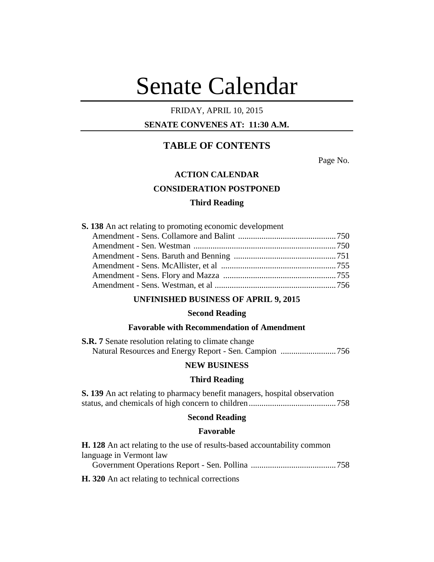# Senate Calendar

# FRIDAY, APRIL 10, 2015

# **SENATE CONVENES AT: 11:30 A.M.**

# **TABLE OF CONTENTS**

Page No.

# **ACTION CALENDAR**

# **CONSIDERATION POSTPONED**

# **Third Reading**

**S. 138** An act relating to promoting economic development

# **UNFINISHED BUSINESS OF APRIL 9, 2015**

# **Second Reading**

# **Favorable with Recommendation of Amendment**

**S.R. 7** Senate resolution relating to climate change Natural Resources and Energy Report - Sen. Campion ..........................756

# **NEW BUSINESS**

# **Third Reading**

**S. 139** An act relating to pharmacy benefit managers, hospital observation status, and chemicals of high concern to children.........................................758

# **Second Reading**

#### **Favorable**

| <b>H.</b> 128 An act relating to the use of results-based accountability common |  |
|---------------------------------------------------------------------------------|--|
| language in Vermont law                                                         |  |
|                                                                                 |  |
| <b>H.</b> 320 An act relating to technical corrections                          |  |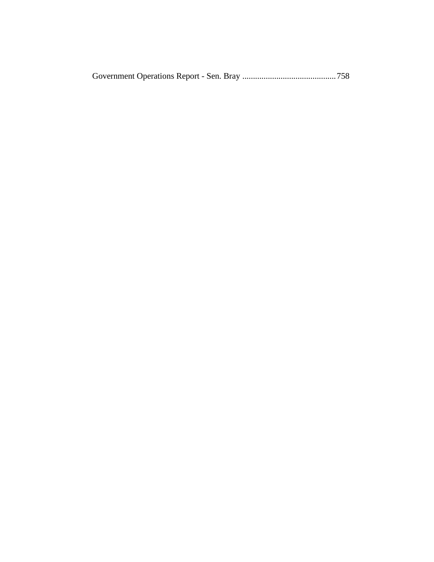Government Operations Report - Sen. Bray ............................................758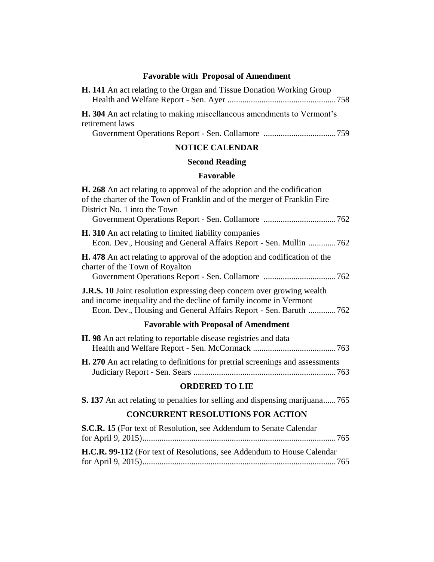# **Favorable with Proposal of Amendment**

**H. 141** An act relating to the Organ and Tissue Donation Working Group

| H. 304 An act relating to making miscellaneous amendments to Vermont's<br>retirement laws                                                                                                                              |
|------------------------------------------------------------------------------------------------------------------------------------------------------------------------------------------------------------------------|
|                                                                                                                                                                                                                        |
| <b>NOTICE CALENDAR</b>                                                                                                                                                                                                 |
| <b>Second Reading</b>                                                                                                                                                                                                  |
| <b>Favorable</b>                                                                                                                                                                                                       |
| H. 268 An act relating to approval of the adoption and the codification<br>of the charter of the Town of Franklin and of the merger of Franklin Fire<br>District No. 1 into the Town                                   |
| H. 310 An act relating to limited liability companies<br>Econ. Dev., Housing and General Affairs Report - Sen. Mullin 762                                                                                              |
| <b>H.</b> 478 An act relating to approval of the adoption and codification of the<br>charter of the Town of Royalton                                                                                                   |
| <b>J.R.S. 10</b> Joint resolution expressing deep concern over growing wealth<br>and income inequality and the decline of family income in Vermont<br>Econ. Dev., Housing and General Affairs Report - Sen. Baruth 762 |
| <b>Favorable with Proposal of Amendment</b>                                                                                                                                                                            |
| <b>H.</b> 98 An act relating to reportable disease registries and data                                                                                                                                                 |
| H. 270 An act relating to definitions for pretrial screenings and assessments                                                                                                                                          |
| $\Omega$ and $\Gamma$ and $\Gamma$ and $\Gamma$ in $\Gamma$                                                                                                                                                            |

# **ORDERED TO LIE**

|  | S. 137 An act relating to penalties for selling and dispensing marijuana 765 |  |  |  |  |  |
|--|------------------------------------------------------------------------------|--|--|--|--|--|
|--|------------------------------------------------------------------------------|--|--|--|--|--|

# **CONCURRENT RESOLUTIONS FOR ACTION**

| <b>S.C.R. 15</b> (For text of Resolution, see Addendum to Senate Calendar      |  |
|--------------------------------------------------------------------------------|--|
|                                                                                |  |
| <b>H.C.R. 99-112</b> (For text of Resolutions, see Addendum to House Calendar) |  |
|                                                                                |  |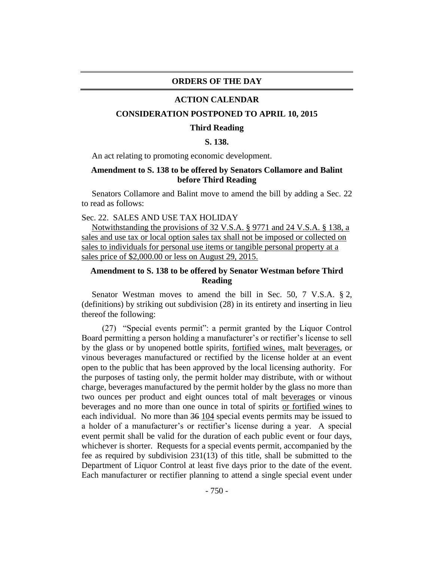#### **ORDERS OF THE DAY**

#### **ACTION CALENDAR**

#### **CONSIDERATION POSTPONED TO APRIL 10, 2015**

#### **Third Reading**

# **S. 138.**

An act relating to promoting economic development.

# **Amendment to S. 138 to be offered by Senators Collamore and Balint before Third Reading**

Senators Collamore and Balint move to amend the bill by adding a Sec. 22 to read as follows:

# Sec. 22. SALES AND USE TAX HOLIDAY

Notwithstanding the provisions of 32 V.S.A. § 9771 and 24 V.S.A. § 138, a sales and use tax or local option sales tax shall not be imposed or collected on sales to individuals for personal use items or tangible personal property at a sales price of \$2,000.00 or less on August 29, 2015.

# **Amendment to S. 138 to be offered by Senator Westman before Third Reading**

Senator Westman moves to amend the bill in Sec. 50, 7 V.S.A. § 2, (definitions) by striking out subdivision (28) in its entirety and inserting in lieu thereof the following:

(27) "Special events permit": a permit granted by the Liquor Control Board permitting a person holding a manufacturer's or rectifier's license to sell by the glass or by unopened bottle spirits, fortified wines, malt beverages, or vinous beverages manufactured or rectified by the license holder at an event open to the public that has been approved by the local licensing authority. For the purposes of tasting only, the permit holder may distribute, with or without charge, beverages manufactured by the permit holder by the glass no more than two ounces per product and eight ounces total of malt beverages or vinous beverages and no more than one ounce in total of spirits or fortified wines to each individual. No more than 36 104 special events permits may be issued to a holder of a manufacturer's or rectifier's license during a year. A special event permit shall be valid for the duration of each public event or four days, whichever is shorter. Requests for a special events permit, accompanied by the fee as required by subdivision 231(13) of this title, shall be submitted to the Department of Liquor Control at least five days prior to the date of the event. Each manufacturer or rectifier planning to attend a single special event under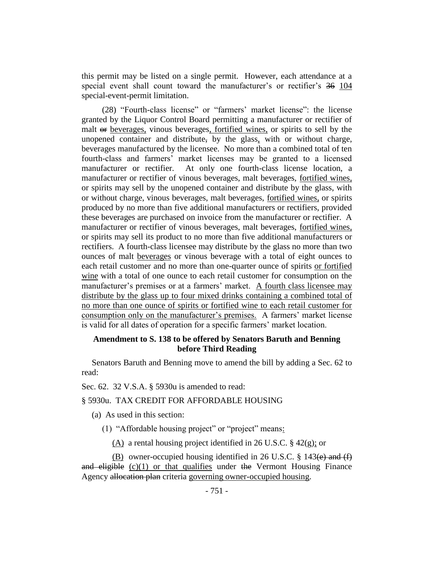this permit may be listed on a single permit. However, each attendance at a special event shall count toward the manufacturer's or rectifier's 36 104 special-event-permit limitation.

(28) "Fourth-class license" or "farmers' market license": the license granted by the Liquor Control Board permitting a manufacturer or rectifier of malt or beverages, vinous beverages, fortified wines, or spirits to sell by the unopened container and distribute, by the glass, with or without charge, beverages manufactured by the licensee. No more than a combined total of ten fourth-class and farmers' market licenses may be granted to a licensed manufacturer or rectifier. At only one fourth-class license location, a manufacturer or rectifier of vinous beverages, malt beverages, fortified wines, or spirits may sell by the unopened container and distribute by the glass, with or without charge, vinous beverages, malt beverages, fortified wines, or spirits produced by no more than five additional manufacturers or rectifiers, provided these beverages are purchased on invoice from the manufacturer or rectifier. A manufacturer or rectifier of vinous beverages, malt beverages, fortified wines, or spirits may sell its product to no more than five additional manufacturers or rectifiers. A fourth-class licensee may distribute by the glass no more than two ounces of malt beverages or vinous beverage with a total of eight ounces to each retail customer and no more than one-quarter ounce of spirits or fortified wine with a total of one ounce to each retail customer for consumption on the manufacturer's premises or at a farmers' market. A fourth class licensee may distribute by the glass up to four mixed drinks containing a combined total of no more than one ounce of spirits or fortified wine to each retail customer for consumption only on the manufacturer's premises. A farmers' market license is valid for all dates of operation for a specific farmers' market location.

# **Amendment to S. 138 to be offered by Senators Baruth and Benning before Third Reading**

Senators Baruth and Benning move to amend the bill by adding a Sec. 62 to read:

Sec. 62. 32 V.S.A. § 5930u is amended to read:

# § 5930u. TAX CREDIT FOR AFFORDABLE HOUSING

(a) As used in this section:

(1) "Affordable housing project" or "project" means:

(A) a rental housing project identified in 26 U.S.C. § 42(g); or

 $(B)$  owner-occupied housing identified in 26 U.S.C. § 143 $(e)$  and  $(f)$ and eligible  $(c)(1)$  or that qualifies under the Vermont Housing Finance Agency allocation plan criteria governing owner-occupied housing.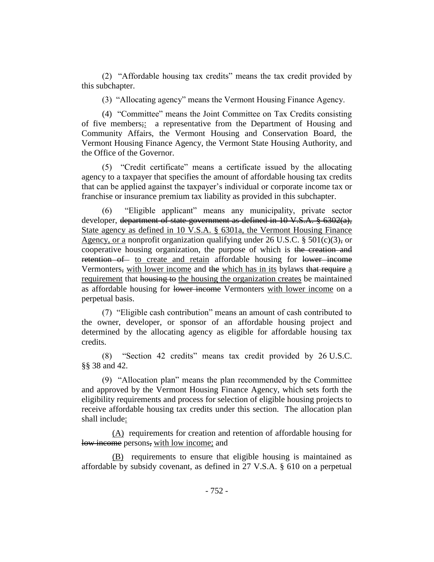(2) "Affordable housing tax credits" means the tax credit provided by this subchapter.

(3) "Allocating agency" means the Vermont Housing Finance Agency.

(4) "Committee" means the Joint Committee on Tax Credits consisting of five members;: a representative from the Department of Housing and Community Affairs, the Vermont Housing and Conservation Board, the Vermont Housing Finance Agency, the Vermont State Housing Authority, and the Office of the Governor.

(5) "Credit certificate" means a certificate issued by the allocating agency to a taxpayer that specifies the amount of affordable housing tax credits that can be applied against the taxpayer's individual or corporate income tax or franchise or insurance premium tax liability as provided in this subchapter.

(6) "Eligible applicant" means any municipality, private sector developer, department of state government as defined in  $10 \text{ V.S.A. }$  § 6302(a), State agency as defined in 10 V.S.A. § 6301a, the Vermont Housing Finance Agency, or a nonprofit organization qualifying under 26 U.S.C. § 501 $(c)(3)$ , or cooperative housing organization, the purpose of which is the creation and retention of to create and retain affordable housing for lower income Vermonters, with lower income and the which has in its bylaws that require a requirement that housing to the housing the organization creates be maintained as affordable housing for lower income Vermonters with lower income on a perpetual basis.

(7) "Eligible cash contribution" means an amount of cash contributed to the owner, developer, or sponsor of an affordable housing project and determined by the allocating agency as eligible for affordable housing tax credits.

(8) "Section 42 credits" means tax credit provided by 26 U.S.C. §§ 38 and 42.

(9) "Allocation plan" means the plan recommended by the Committee and approved by the Vermont Housing Finance Agency, which sets forth the eligibility requirements and process for selection of eligible housing projects to receive affordable housing tax credits under this section. The allocation plan shall include:

(A) requirements for creation and retention of affordable housing for low income persons, with low income; and

(B) requirements to ensure that eligible housing is maintained as affordable by subsidy covenant, as defined in 27 V.S.A. § 610 on a perpetual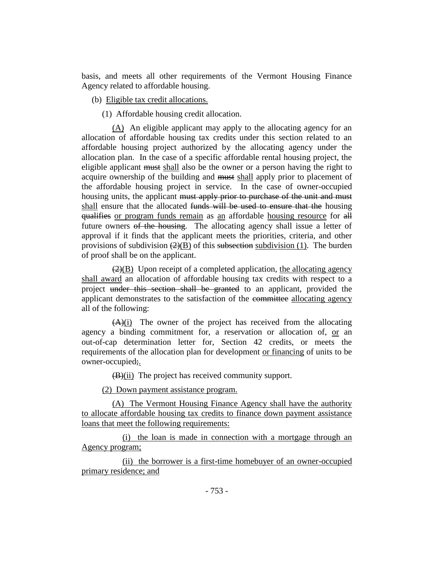basis, and meets all other requirements of the Vermont Housing Finance Agency related to affordable housing.

- (b) Eligible tax credit allocations.
	- (1) Affordable housing credit allocation.

(A) An eligible applicant may apply to the allocating agency for an allocation of affordable housing tax credits under this section related to an affordable housing project authorized by the allocating agency under the allocation plan. In the case of a specific affordable rental housing project, the eligible applicant must shall also be the owner or a person having the right to acquire ownership of the building and must shall apply prior to placement of the affordable housing project in service. In the case of owner-occupied housing units, the applicant must apply prior to purchase of the unit and must shall ensure that the allocated funds will be used to ensure that the housing qualifies or program funds remain as an affordable housing resource for all future owners of the housing. The allocating agency shall issue a letter of approval if it finds that the applicant meets the priorities, criteria, and other provisions of subdivision  $(2)(B)$  of this subsection subdivision (1). The burden of proof shall be on the applicant.

 $\left(\frac{2}{B}\right)$  Upon receipt of a completed application, the allocating agency shall award an allocation of affordable housing tax credits with respect to a project under this section shall be granted to an applicant, provided the applicant demonstrates to the satisfaction of the committee allocating agency all of the following:

 $(A)(i)$  The owner of the project has received from the allocating agency a binding commitment for, a reservation or allocation of, or an out-of-cap determination letter for, Section 42 credits, or meets the requirements of the allocation plan for development or financing of units to be owner-occupied;.

(B)(ii) The project has received community support.

(2) Down payment assistance program.

(A) The Vermont Housing Finance Agency shall have the authority to allocate affordable housing tax credits to finance down payment assistance loans that meet the following requirements:

(i) the loan is made in connection with a mortgage through an Agency program;

(ii) the borrower is a first-time homebuyer of an owner-occupied primary residence; and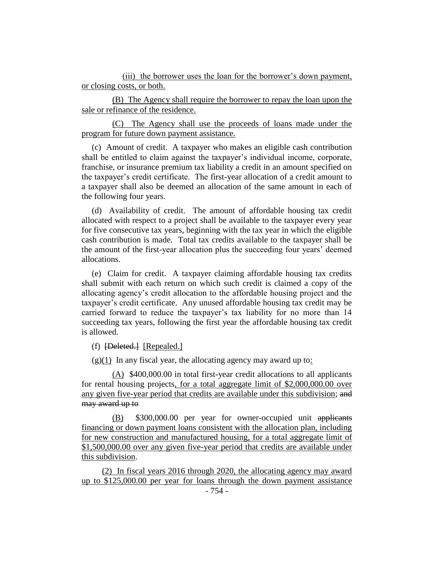(iii) the borrower uses the loan for the borrower's down payment, or closing costs, or both.

(B) The Agency shall require the borrower to repay the loan upon the sale or refinance of the residence.

(C) The Agency shall use the proceeds of loans made under the program for future down payment assistance.

(c) Amount of credit. A taxpayer who makes an eligible cash contribution shall be entitled to claim against the taxpayer's individual income, corporate, franchise, or insurance premium tax liability a credit in an amount specified on the taxpayer's credit certificate. The first-year allocation of a credit amount to a taxpayer shall also be deemed an allocation of the same amount in each of the following four years.

(d) Availability of credit. The amount of affordable housing tax credit allocated with respect to a project shall be available to the taxpayer every year for five consecutive tax years, beginning with the tax year in which the eligible cash contribution is made. Total tax credits available to the taxpayer shall be the amount of the first-year allocation plus the succeeding four years' deemed allocations.

(e) Claim for credit. A taxpayer claiming affordable housing tax credits shall submit with each return on which such credit is claimed a copy of the allocating agency's credit allocation to the affordable housing project and the taxpayer's credit certificate. Any unused affordable housing tax credit may be carried forward to reduce the taxpayer's tax liability for no more than 14 succeeding tax years, following the first year the affordable housing tax credit is allowed.

(f) [Deleted.] [Repealed.]

 $(g)(1)$  In any fiscal year, the allocating agency may award up to:

(A) \$400,000.00 in total first-year credit allocations to all applicants for rental housing projects, for a total aggregate limit of \$2,000,000.00 over any given five-year period that credits are available under this subdivision; and may award up to

(B) \$300,000.00 per year for owner-occupied unit applicants financing or down payment loans consistent with the allocation plan, including for new construction and manufactured housing, for a total aggregate limit of \$1,500,000.00 over any given five-year period that credits are available under this subdivision.

(2) In fiscal years 2016 through 2020, the allocating agency may award up to \$125,000.00 per year for loans through the down payment assistance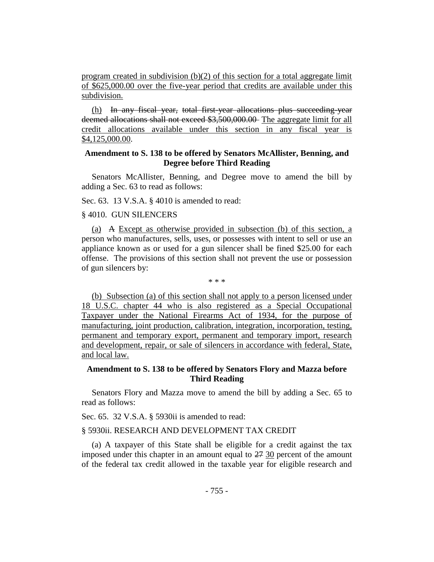program created in subdivision  $(b)(2)$  of this section for a total aggregate limit of \$625,000.00 over the five-year period that credits are available under this subdivision.

(h) In any fiscal year, total first-year allocations plus succeeding-year deemed allocations shall not exceed \$3,500,000.00 The aggregate limit for all credit allocations available under this section in any fiscal year is \$4,125,000.00.

# **Amendment to S. 138 to be offered by Senators McAllister, Benning, and Degree before Third Reading**

Senators McAllister, Benning, and Degree move to amend the bill by adding a Sec. 63 to read as follows:

Sec. 63. 13 V.S.A. § 4010 is amended to read:

# § 4010. GUN SILENCERS

(a) A Except as otherwise provided in subsection (b) of this section, a person who manufactures, sells, uses, or possesses with intent to sell or use an appliance known as or used for a gun silencer shall be fined \$25.00 for each offense. The provisions of this section shall not prevent the use or possession of gun silencers by:

\* \* \*

(b) Subsection (a) of this section shall not apply to a person licensed under 18 U.S.C. chapter 44 who is also registered as a Special Occupational Taxpayer under the National Firearms Act of 1934, for the purpose of manufacturing, joint production, calibration, integration, incorporation, testing, permanent and temporary export, permanent and temporary import, research and development, repair, or sale of silencers in accordance with federal, State, and local law.

#### **Amendment to S. 138 to be offered by Senators Flory and Mazza before Third Reading**

Senators Flory and Mazza move to amend the bill by adding a Sec. 65 to read as follows:

Sec. 65. 32 V.S.A. § 5930ii is amended to read:

#### § 5930ii. RESEARCH AND DEVELOPMENT TAX CREDIT

(a) A taxpayer of this State shall be eligible for a credit against the tax imposed under this chapter in an amount equal to 27 30 percent of the amount of the federal tax credit allowed in the taxable year for eligible research and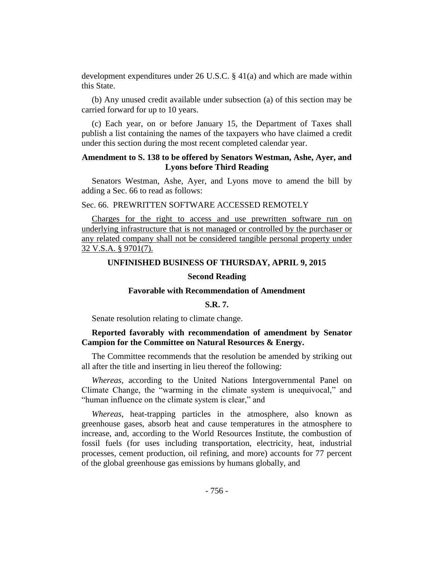development expenditures under 26 U.S.C. § 41(a) and which are made within this State.

(b) Any unused credit available under subsection (a) of this section may be carried forward for up to 10 years.

(c) Each year, on or before January 15, the Department of Taxes shall publish a list containing the names of the taxpayers who have claimed a credit under this section during the most recent completed calendar year.

# **Amendment to S. 138 to be offered by Senators Westman, Ashe, Ayer, and Lyons before Third Reading**

Senators Westman, Ashe, Ayer, and Lyons move to amend the bill by adding a Sec. 66 to read as follows:

#### Sec. 66. PREWRITTEN SOFTWARE ACCESSED REMOTELY

Charges for the right to access and use prewritten software run on underlying infrastructure that is not managed or controlled by the purchaser or any related company shall not be considered tangible personal property under 32 V.S.A. § 9701(7).

#### **UNFINISHED BUSINESS OF THURSDAY, APRIL 9, 2015**

# **Second Reading**

#### **Favorable with Recommendation of Amendment**

# **S.R. 7.**

Senate resolution relating to climate change.

# **Reported favorably with recommendation of amendment by Senator Campion for the Committee on Natural Resources & Energy.**

The Committee recommends that the resolution be amended by striking out all after the title and inserting in lieu thereof the following:

*Whereas*, according to the United Nations Intergovernmental Panel on Climate Change, the "warming in the climate system is unequivocal," and "human influence on the climate system is clear," and

*Whereas*, heat-trapping particles in the atmosphere, also known as greenhouse gases, absorb heat and cause temperatures in the atmosphere to increase, and, according to the World Resources Institute, the combustion of fossil fuels (for uses including transportation, electricity, heat, industrial processes, cement production, oil refining, and more) accounts for 77 percent of the global greenhouse gas emissions by humans globally, and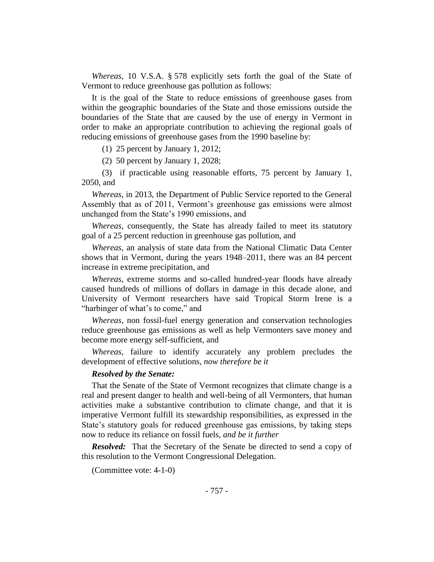*Whereas*, 10 V.S.A. § 578 explicitly sets forth the goal of the State of Vermont to reduce greenhouse gas pollution as follows:

It is the goal of the State to reduce emissions of greenhouse gases from within the geographic boundaries of the State and those emissions outside the boundaries of the State that are caused by the use of energy in Vermont in order to make an appropriate contribution to achieving the regional goals of reducing emissions of greenhouse gases from the 1990 baseline by:

(1) 25 percent by January 1, 2012;

(2) 50 percent by January 1, 2028;

(3) if practicable using reasonable efforts, 75 percent by January 1, 2050, and

*Whereas*, in 2013, the Department of Public Service reported to the General Assembly that as of 2011, Vermont's greenhouse gas emissions were almost unchanged from the State's 1990 emissions, and

*Whereas*, consequently, the State has already failed to meet its statutory goal of a 25 percent reduction in greenhouse gas pollution, and

*Whereas,* an analysis of state data from the National Climatic Data Center shows that in Vermont, during the years 1948–2011, there was an 84 percent increase in extreme precipitation, and

*Whereas*, extreme storms and so-called hundred-year floods have already caused hundreds of millions of dollars in damage in this decade alone, and University of Vermont researchers have said Tropical Storm Irene is a "harbinger of what's to come," and

*Whereas,* non fossil-fuel energy generation and conservation technologies reduce greenhouse gas emissions as well as help Vermonters save money and become more energy self-sufficient, and

*Whereas*, failure to identify accurately any problem precludes the development of effective solutions, *now therefore be it*

# *Resolved by the Senate:*

That the Senate of the State of Vermont recognizes that climate change is a real and present danger to health and well-being of all Vermonters, that human activities make a substantive contribution to climate change, and that it is imperative Vermont fulfill its stewardship responsibilities, as expressed in the State's statutory goals for reduced greenhouse gas emissions, by taking steps now to reduce its reliance on fossil fuels, *and be it further*

*Resolved:* That the Secretary of the Senate be directed to send a copy of this resolution to the Vermont Congressional Delegation.

(Committee vote: 4-1-0)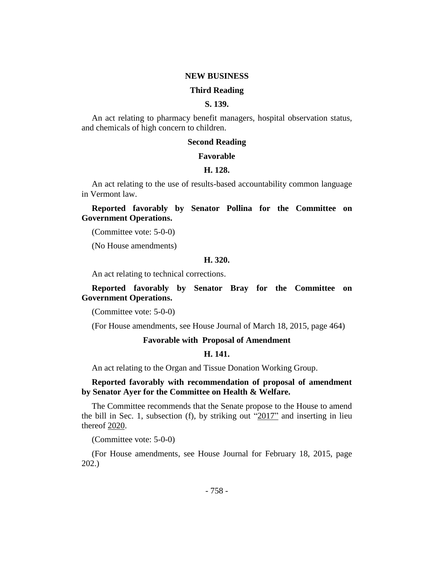#### **NEW BUSINESS**

#### **Third Reading**

# **S. 139.**

An act relating to pharmacy benefit managers, hospital observation status, and chemicals of high concern to children.

#### **Second Reading**

# **Favorable**

#### **H. 128.**

An act relating to the use of results-based accountability common language in Vermont law.

**Reported favorably by Senator Pollina for the Committee on Government Operations.**

(Committee vote: 5-0-0)

(No House amendments)

#### **H. 320.**

An act relating to technical corrections.

# **Reported favorably by Senator Bray for the Committee on Government Operations.**

(Committee vote: 5-0-0)

(For House amendments, see House Journal of March 18, 2015, page 464)

#### **Favorable with Proposal of Amendment**

#### **H. 141.**

An act relating to the Organ and Tissue Donation Working Group.

# **Reported favorably with recommendation of proposal of amendment by Senator Ayer for the Committee on Health & Welfare.**

The Committee recommends that the Senate propose to the House to amend the bill in Sec. 1, subsection (f), by striking out " $2017$ " and inserting in lieu thereof 2020.

(Committee vote: 5-0-0)

(For House amendments, see House Journal for February 18, 2015, page 202.)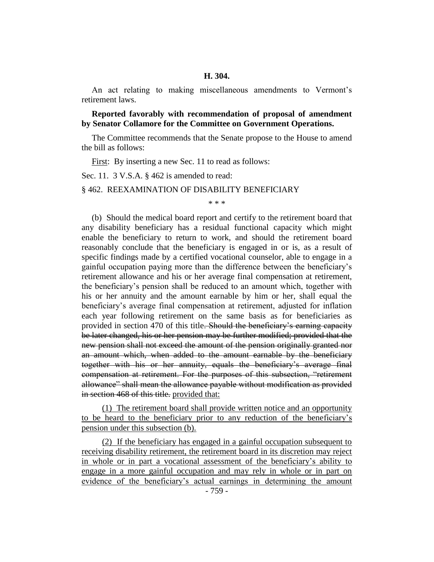## **H. 304.**

An act relating to making miscellaneous amendments to Vermont's retirement laws.

**Reported favorably with recommendation of proposal of amendment by Senator Collamore for the Committee on Government Operations.**

The Committee recommends that the Senate propose to the House to amend the bill as follows:

First: By inserting a new Sec. 11 to read as follows:

Sec. 11. 3 V.S.A. § 462 is amended to read:

§ 462. REEXAMINATION OF DISABILITY BENEFICIARY

#### \* \* \*

(b) Should the medical board report and certify to the retirement board that any disability beneficiary has a residual functional capacity which might enable the beneficiary to return to work, and should the retirement board reasonably conclude that the beneficiary is engaged in or is, as a result of specific findings made by a certified vocational counselor, able to engage in a gainful occupation paying more than the difference between the beneficiary's retirement allowance and his or her average final compensation at retirement, the beneficiary's pension shall be reduced to an amount which, together with his or her annuity and the amount earnable by him or her, shall equal the beneficiary's average final compensation at retirement, adjusted for inflation each year following retirement on the same basis as for beneficiaries as provided in section 470 of this title. Should the beneficiary's earning capacity be later changed, his or her pension may be further modified; provided that the new pension shall not exceed the amount of the pension originally granted nor an amount which, when added to the amount earnable by the beneficiary together with his or her annuity, equals the beneficiary's average final compensation at retirement. For the purposes of this subsection, "retirement allowance" shall mean the allowance payable without modification as provided in section 468 of this title. provided that:

(1) The retirement board shall provide written notice and an opportunity to be heard to the beneficiary prior to any reduction of the beneficiary's pension under this subsection (b).

(2) If the beneficiary has engaged in a gainful occupation subsequent to receiving disability retirement, the retirement board in its discretion may reject in whole or in part a vocational assessment of the beneficiary's ability to engage in a more gainful occupation and may rely in whole or in part on evidence of the beneficiary's actual earnings in determining the amount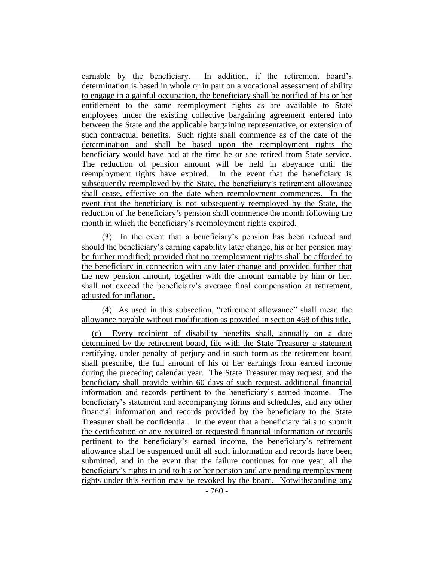earnable by the beneficiary. In addition, if the retirement board's determination is based in whole or in part on a vocational assessment of ability to engage in a gainful occupation, the beneficiary shall be notified of his or her entitlement to the same reemployment rights as are available to State employees under the existing collective bargaining agreement entered into between the State and the applicable bargaining representative, or extension of such contractual benefits. Such rights shall commence as of the date of the determination and shall be based upon the reemployment rights the beneficiary would have had at the time he or she retired from State service. The reduction of pension amount will be held in abeyance until the reemployment rights have expired. In the event that the beneficiary is subsequently reemployed by the State, the beneficiary's retirement allowance shall cease, effective on the date when reemployment commences. In the event that the beneficiary is not subsequently reemployed by the State, the reduction of the beneficiary's pension shall commence the month following the month in which the beneficiary's reemployment rights expired.

(3) In the event that a beneficiary's pension has been reduced and should the beneficiary's earning capability later change, his or her pension may be further modified; provided that no reemployment rights shall be afforded to the beneficiary in connection with any later change and provided further that the new pension amount, together with the amount earnable by him or her, shall not exceed the beneficiary's average final compensation at retirement, adjusted for inflation.

(4) As used in this subsection, "retirement allowance" shall mean the allowance payable without modification as provided in section 468 of this title.

(c) Every recipient of disability benefits shall, annually on a date determined by the retirement board, file with the State Treasurer a statement certifying, under penalty of perjury and in such form as the retirement board shall prescribe, the full amount of his or her earnings from earned income during the preceding calendar year. The State Treasurer may request, and the beneficiary shall provide within 60 days of such request, additional financial information and records pertinent to the beneficiary's earned income. The beneficiary's statement and accompanying forms and schedules, and any other financial information and records provided by the beneficiary to the State Treasurer shall be confidential. In the event that a beneficiary fails to submit the certification or any required or requested financial information or records pertinent to the beneficiary's earned income, the beneficiary's retirement allowance shall be suspended until all such information and records have been submitted, and in the event that the failure continues for one year, all the beneficiary's rights in and to his or her pension and any pending reemployment rights under this section may be revoked by the board. Notwithstanding any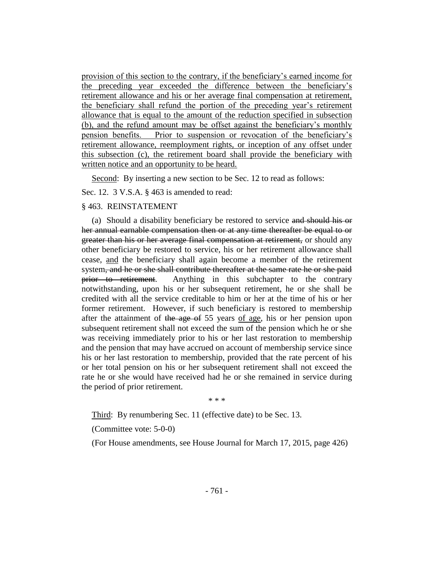provision of this section to the contrary, if the beneficiary's earned income for the preceding year exceeded the difference between the beneficiary's retirement allowance and his or her average final compensation at retirement, the beneficiary shall refund the portion of the preceding year's retirement allowance that is equal to the amount of the reduction specified in subsection (b), and the refund amount may be offset against the beneficiary's monthly pension benefits. Prior to suspension or revocation of the beneficiary's retirement allowance, reemployment rights, or inception of any offset under this subsection (c), the retirement board shall provide the beneficiary with written notice and an opportunity to be heard.

Second: By inserting a new section to be Sec. 12 to read as follows:

Sec. 12. 3 V.S.A. § 463 is amended to read:

#### § 463. REINSTATEMENT

(a) Should a disability beneficiary be restored to service and should his or her annual earnable compensation then or at any time thereafter be equal to or greater than his or her average final compensation at retirement, or should any other beneficiary be restored to service, his or her retirement allowance shall cease, and the beneficiary shall again become a member of the retirement system, and he or she shall contribute thereafter at the same rate he or she paid prior to retirement. Anything in this subchapter to the contrary notwithstanding, upon his or her subsequent retirement, he or she shall be credited with all the service creditable to him or her at the time of his or her former retirement. However, if such beneficiary is restored to membership after the attainment of the age of 55 years of age, his or her pension upon subsequent retirement shall not exceed the sum of the pension which he or she was receiving immediately prior to his or her last restoration to membership and the pension that may have accrued on account of membership service since his or her last restoration to membership, provided that the rate percent of his or her total pension on his or her subsequent retirement shall not exceed the rate he or she would have received had he or she remained in service during the period of prior retirement.

\* \* \*

Third: By renumbering Sec. 11 (effective date) to be Sec. 13.

(Committee vote: 5-0-0)

(For House amendments, see House Journal for March 17, 2015, page 426)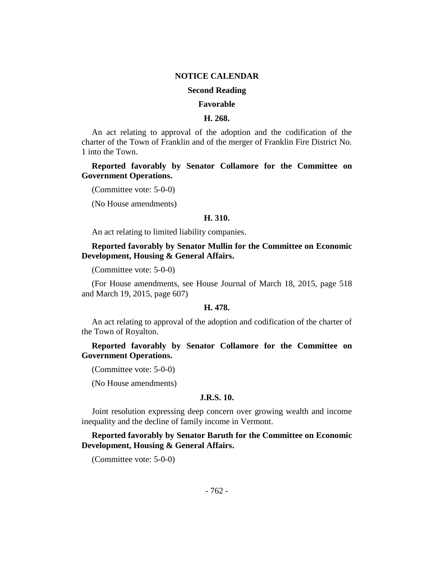## **NOTICE CALENDAR**

# **Second Reading**

#### **Favorable**

#### **H. 268.**

An act relating to approval of the adoption and the codification of the charter of the Town of Franklin and of the merger of Franklin Fire District No. 1 into the Town.

**Reported favorably by Senator Collamore for the Committee on Government Operations.**

(Committee vote: 5-0-0)

(No House amendments)

#### **H. 310.**

An act relating to limited liability companies.

**Reported favorably by Senator Mullin for the Committee on Economic Development, Housing & General Affairs.**

(Committee vote: 5-0-0)

(For House amendments, see House Journal of March 18, 2015, page 518 and March 19, 2015, page 607)

#### **H. 478.**

An act relating to approval of the adoption and codification of the charter of the Town of Royalton.

# **Reported favorably by Senator Collamore for the Committee on Government Operations.**

(Committee vote: 5-0-0)

(No House amendments)

# **J.R.S. 10.**

Joint resolution expressing deep concern over growing wealth and income inequality and the decline of family income in Vermont.

**Reported favorably by Senator Baruth for the Committee on Economic Development, Housing & General Affairs.**

(Committee vote: 5-0-0)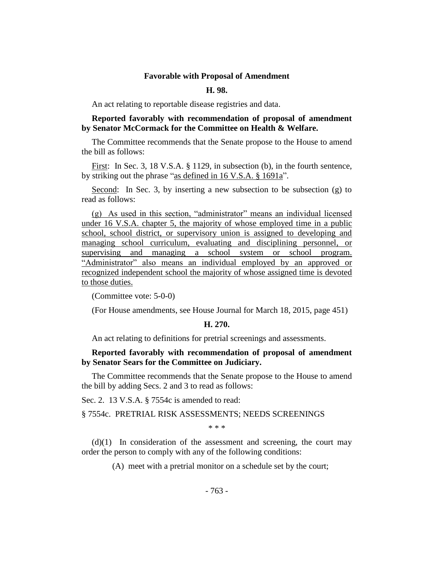# **Favorable with Proposal of Amendment**

#### **H. 98.**

An act relating to reportable disease registries and data.

# **Reported favorably with recommendation of proposal of amendment by Senator McCormack for the Committee on Health & Welfare.**

The Committee recommends that the Senate propose to the House to amend the bill as follows:

First: In Sec. 3, 18 V.S.A. § 1129, in subsection (b), in the fourth sentence, by striking out the phrase "as defined in 16 V.S.A. § 1691a".

Second: In Sec. 3, by inserting a new subsection to be subsection (g) to read as follows:

(g) As used in this section, "administrator" means an individual licensed under 16 V.S.A. chapter 5, the majority of whose employed time in a public school, school district, or supervisory union is assigned to developing and managing school curriculum, evaluating and disciplining personnel, or supervising and managing a school system or school program. "Administrator" also means an individual employed by an approved or recognized independent school the majority of whose assigned time is devoted to those duties.

(Committee vote: 5-0-0)

(For House amendments, see House Journal for March 18, 2015, page 451)

#### **H. 270.**

An act relating to definitions for pretrial screenings and assessments.

# **Reported favorably with recommendation of proposal of amendment by Senator Sears for the Committee on Judiciary.**

The Committee recommends that the Senate propose to the House to amend the bill by adding Secs. 2 and 3 to read as follows:

Sec. 2. 13 V.S.A. § 7554c is amended to read:

§ 7554c. PRETRIAL RISK ASSESSMENTS; NEEDS SCREENINGS

\* \* \*

 $(d)(1)$  In consideration of the assessment and screening, the court may order the person to comply with any of the following conditions:

(A) meet with a pretrial monitor on a schedule set by the court;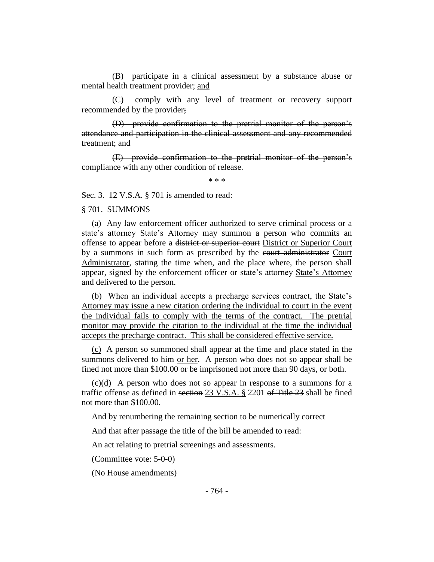(B) participate in a clinical assessment by a substance abuse or mental health treatment provider; and

(C) comply with any level of treatment or recovery support recommended by the provider;

(D) provide confirmation to the pretrial monitor of the person's attendance and participation in the clinical assessment and any recommended treatment; and

(E) provide confirmation to the pretrial monitor of the person's compliance with any other condition of release.

\* \* \*

Sec. 3. 12 V.S.A. § 701 is amended to read:

§ 701. SUMMONS

(a) Any law enforcement officer authorized to serve criminal process or a state's attorney State's Attorney may summon a person who commits an offense to appear before a district or superior court District or Superior Court by a summons in such form as prescribed by the court administrator Court Administrator, stating the time when, and the place where, the person shall appear, signed by the enforcement officer or state's attorney State's Attorney and delivered to the person.

(b) When an individual accepts a precharge services contract, the State's Attorney may issue a new citation ordering the individual to court in the event the individual fails to comply with the terms of the contract. The pretrial monitor may provide the citation to the individual at the time the individual accepts the precharge contract. This shall be considered effective service.

(c) A person so summoned shall appear at the time and place stated in the summons delivered to him or her. A person who does not so appear shall be fined not more than \$100.00 or be imprisoned not more than 90 days, or both.

 $\left(\frac{c}{c}\right)$  A person who does not so appear in response to a summons for a traffic offense as defined in section 23 V.S.A. § 2201 of Title 23 shall be fined not more than \$100.00.

And by renumbering the remaining section to be numerically correct

And that after passage the title of the bill be amended to read:

An act relating to pretrial screenings and assessments.

(Committee vote: 5-0-0)

(No House amendments)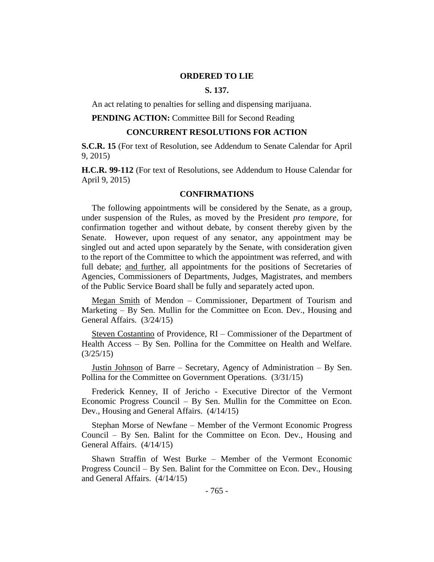## **ORDERED TO LIE**

# **S. 137.**

An act relating to penalties for selling and dispensing marijuana.

**PENDING ACTION:** Committee Bill for Second Reading

# **CONCURRENT RESOLUTIONS FOR ACTION**

**S.C.R. 15** (For text of Resolution, see Addendum to Senate Calendar for April 9, 2015)

**H.C.R. 99-112** (For text of Resolutions, see Addendum to House Calendar for April 9, 2015)

#### **CONFIRMATIONS**

The following appointments will be considered by the Senate, as a group, under suspension of the Rules, as moved by the President *pro tempore,* for confirmation together and without debate, by consent thereby given by the Senate. However, upon request of any senator, any appointment may be singled out and acted upon separately by the Senate, with consideration given to the report of the Committee to which the appointment was referred, and with full debate; and further, all appointments for the positions of Secretaries of Agencies, Commissioners of Departments, Judges, Magistrates, and members of the Public Service Board shall be fully and separately acted upon.

Megan Smith of Mendon – Commissioner, Department of Tourism and Marketing – By Sen. Mullin for the Committee on Econ. Dev., Housing and General Affairs. (3/24/15)

Steven Costantino of Providence, RI – Commissioner of the Department of Health Access – By Sen. Pollina for the Committee on Health and Welfare.  $(3/25/15)$ 

Justin Johnson of Barre – Secretary, Agency of Administration – By Sen. Pollina for the Committee on Government Operations. (3/31/15)

Frederick Kenney, II of Jericho - Executive Director of the Vermont Economic Progress Council – By Sen. Mullin for the Committee on Econ. Dev., Housing and General Affairs. (4/14/15)

Stephan Morse of Newfane – Member of the Vermont Economic Progress Council – By Sen. Balint for the Committee on Econ. Dev., Housing and General Affairs. (4/14/15)

Shawn Straffin of West Burke – Member of the Vermont Economic Progress Council – By Sen. Balint for the Committee on Econ. Dev., Housing and General Affairs. (4/14/15)